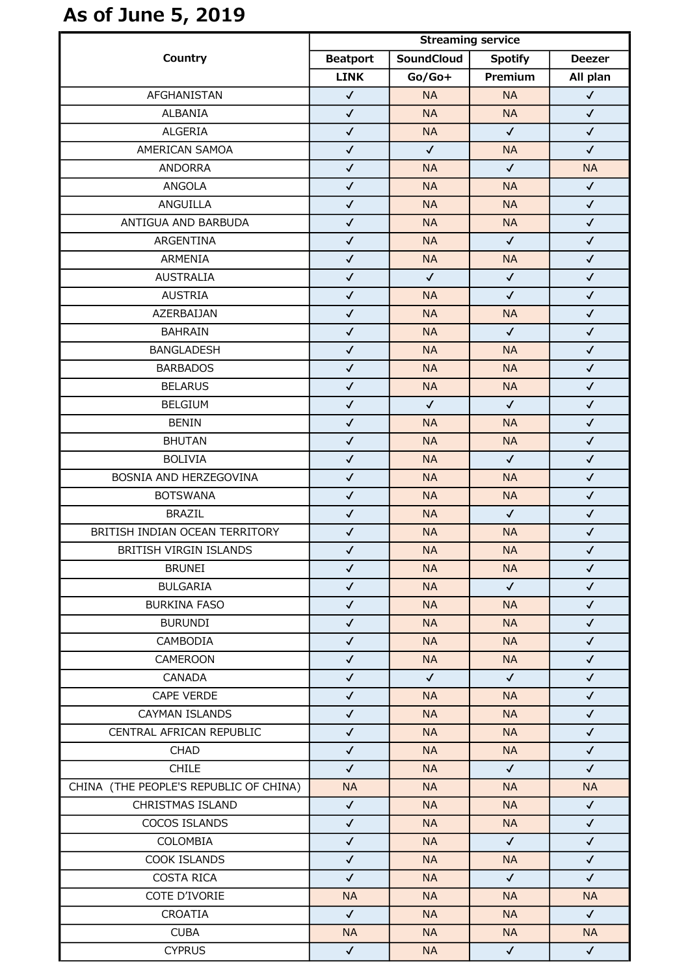## As of June 5, 2019

| Country                                | <b>Streaming service</b> |                   |                |               |
|----------------------------------------|--------------------------|-------------------|----------------|---------------|
|                                        | <b>Beatport</b>          | <b>SoundCloud</b> | <b>Spotify</b> | <b>Deezer</b> |
|                                        | <b>LINK</b>              | $Go/Go+$          | Premium        | All plan      |
| AFGHANISTAN                            | $\checkmark$             | <b>NA</b>         | <b>NA</b>      | $\checkmark$  |
| ALBANIA                                | $\checkmark$             | <b>NA</b>         | <b>NA</b>      | $\checkmark$  |
| <b>ALGERIA</b>                         | $\checkmark$             | <b>NA</b>         | $\checkmark$   | $\checkmark$  |
| AMERICAN SAMOA                         | $\checkmark$             | $\checkmark$      | <b>NA</b>      | $\checkmark$  |
| <b>ANDORRA</b>                         | $\checkmark$             | <b>NA</b>         | $\checkmark$   | <b>NA</b>     |
| ANGOLA                                 | $\checkmark$             | <b>NA</b>         | <b>NA</b>      | $\checkmark$  |
| ANGUILLA                               | $\checkmark$             | <b>NA</b>         | <b>NA</b>      | $\checkmark$  |
| ANTIGUA AND BARBUDA                    | $\checkmark$             | <b>NA</b>         | <b>NA</b>      | $\checkmark$  |
| ARGENTINA                              | $\checkmark$             | <b>NA</b>         | $\checkmark$   | $\checkmark$  |
| ARMENIA                                | $\checkmark$             | <b>NA</b>         | <b>NA</b>      | $\checkmark$  |
| <b>AUSTRALIA</b>                       | $\checkmark$             | $\checkmark$      | $\checkmark$   | $\checkmark$  |
| <b>AUSTRIA</b>                         | $\checkmark$             | <b>NA</b>         | $\checkmark$   | $\checkmark$  |
| AZERBAIJAN                             | $\checkmark$             | <b>NA</b>         | <b>NA</b>      | $\checkmark$  |
| <b>BAHRAIN</b>                         | $\checkmark$             | <b>NA</b>         | $\checkmark$   | $\checkmark$  |
| <b>BANGLADESH</b>                      | $\checkmark$             | <b>NA</b>         | <b>NA</b>      | $\checkmark$  |
| <b>BARBADOS</b>                        | $\checkmark$             | <b>NA</b>         | <b>NA</b>      | $\checkmark$  |
| <b>BELARUS</b>                         | $\checkmark$             | <b>NA</b>         | <b>NA</b>      | $\checkmark$  |
| <b>BELGIUM</b>                         | $\checkmark$             | $\checkmark$      | $\checkmark$   | $\checkmark$  |
| <b>BENIN</b>                           | $\checkmark$             | <b>NA</b>         | <b>NA</b>      | $\checkmark$  |
| <b>BHUTAN</b>                          | $\checkmark$             | <b>NA</b>         | <b>NA</b>      | $\checkmark$  |
| <b>BOLIVIA</b>                         | $\checkmark$             | <b>NA</b>         | $\checkmark$   | $\checkmark$  |
| BOSNIA AND HERZEGOVINA                 | $\checkmark$             | <b>NA</b>         | <b>NA</b>      | $\checkmark$  |
| <b>BOTSWANA</b>                        | $\checkmark$             | <b>NA</b>         | <b>NA</b>      | $\checkmark$  |
| <b>BRAZIL</b>                          | $\checkmark$             | <b>NA</b>         | $\checkmark$   | $\checkmark$  |
| BRITISH INDIAN OCEAN TERRITORY         | $\checkmark$             | <b>NA</b>         | <b>NA</b>      | $\checkmark$  |
| BRITISH VIRGIN ISLANDS                 | $\checkmark$             | $\sf NA$          | <b>NA</b>      | $\checkmark$  |
| <b>BRUNEI</b>                          | $\checkmark$             | <b>NA</b>         | <b>NA</b>      | $\checkmark$  |
| <b>BULGARIA</b>                        | $\checkmark$             | <b>NA</b>         | $\checkmark$   | $\checkmark$  |
| <b>BURKINA FASO</b>                    | $\checkmark$             | <b>NA</b>         | <b>NA</b>      | $\checkmark$  |
| <b>BURUNDI</b>                         | $\checkmark$             | <b>NA</b>         | <b>NA</b>      | $\checkmark$  |
| CAMBODIA                               | $\checkmark$             | <b>NA</b>         | <b>NA</b>      | $\checkmark$  |
| <b>CAMEROON</b>                        | $\checkmark$             | <b>NA</b>         | <b>NA</b>      | $\checkmark$  |
| CANADA                                 | $\checkmark$             | $\checkmark$      | $\checkmark$   | $\checkmark$  |
| CAPE VERDE                             | $\checkmark$             | <b>NA</b>         | <b>NA</b>      | $\checkmark$  |
| CAYMAN ISLANDS                         | $\checkmark$             | <b>NA</b>         | <b>NA</b>      | $\checkmark$  |
| CENTRAL AFRICAN REPUBLIC               | $\checkmark$             | <b>NA</b>         | <b>NA</b>      | $\checkmark$  |
| CHAD                                   | $\checkmark$             | <b>NA</b>         | <b>NA</b>      | $\checkmark$  |
| <b>CHILE</b>                           | $\checkmark$             | <b>NA</b>         | $\checkmark$   | $\checkmark$  |
| CHINA (THE PEOPLE'S REPUBLIC OF CHINA) | <b>NA</b>                | <b>NA</b>         | <b>NA</b>      | <b>NA</b>     |
| CHRISTMAS ISLAND                       | $\checkmark$             | <b>NA</b>         | <b>NA</b>      | $\checkmark$  |
| COCOS ISLANDS                          | $\checkmark$             | <b>NA</b>         | <b>NA</b>      | $\checkmark$  |
| COLOMBIA                               | $\checkmark$             | <b>NA</b>         | $\checkmark$   | $\checkmark$  |
| COOK ISLANDS                           | $\checkmark$             | <b>NA</b>         | <b>NA</b>      | $\checkmark$  |
| <b>COSTA RICA</b>                      | $\checkmark$             | <b>NA</b>         | $\checkmark$   | $\checkmark$  |
| COTE D'IVORIE                          | <b>NA</b>                | <b>NA</b>         | <b>NA</b>      | <b>NA</b>     |
| CROATIA                                | $\checkmark$             | <b>NA</b>         | <b>NA</b>      | $\checkmark$  |
| <b>CUBA</b>                            | <b>NA</b>                | <b>NA</b>         | <b>NA</b>      | <b>NA</b>     |
| <b>CYPRUS</b>                          | $\checkmark$             | <b>NA</b>         | $\checkmark$   | $\checkmark$  |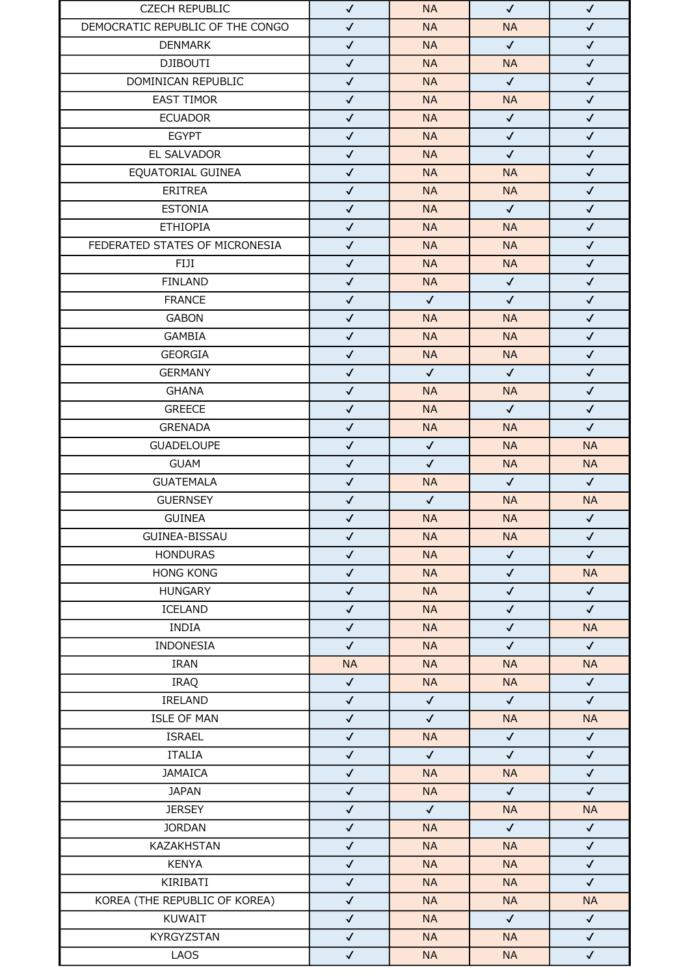| <b>CZECH REPUBLIC</b>            | $\checkmark$                 | <b>NA</b>                 | $\checkmark$                 | $\checkmark$ |
|----------------------------------|------------------------------|---------------------------|------------------------------|--------------|
| DEMOCRATIC REPUBLIC OF THE CONGO | $\checkmark$                 | <b>NA</b>                 | <b>NA</b>                    | $\checkmark$ |
| <b>DENMARK</b>                   | $\checkmark$                 | <b>NA</b>                 | $\checkmark$                 | $\checkmark$ |
| <b>DJIBOUTI</b>                  | $\checkmark$                 | <b>NA</b>                 | <b>NA</b>                    | $\checkmark$ |
| DOMINICAN REPUBLIC               | $\checkmark$                 | <b>NA</b>                 | $\checkmark$                 | $\checkmark$ |
| <b>EAST TIMOR</b>                | $\checkmark$                 | <b>NA</b>                 | <b>NA</b>                    | $\checkmark$ |
| <b>ECUADOR</b>                   | $\checkmark$                 | <b>NA</b>                 | $\checkmark$                 | $\checkmark$ |
| <b>EGYPT</b>                     | $\checkmark$                 | <b>NA</b>                 | $\checkmark$                 | $\checkmark$ |
| EL SALVADOR                      | $\checkmark$                 | <b>NA</b>                 | $\checkmark$                 | $\checkmark$ |
| EQUATORIAL GUINEA                | $\checkmark$                 | <b>NA</b>                 | <b>NA</b>                    | $\checkmark$ |
| ERITREA                          | $\checkmark$                 | <b>NA</b>                 | <b>NA</b>                    | $\checkmark$ |
| <b>ESTONIA</b>                   | $\checkmark$                 | <b>NA</b>                 | $\checkmark$                 | $\checkmark$ |
| <b>ETHIOPIA</b>                  | $\checkmark$                 | <b>NA</b>                 | <b>NA</b>                    | $\checkmark$ |
| FEDERATED STATES OF MICRONESIA   | $\checkmark$                 | <b>NA</b>                 | <b>NA</b>                    | $\checkmark$ |
| FIJI                             | $\checkmark$                 | <b>NA</b>                 | <b>NA</b>                    | $\checkmark$ |
| <b>FINLAND</b>                   | $\checkmark$                 | <b>NA</b>                 | $\sqrt{2}$                   | $\checkmark$ |
| <b>FRANCE</b>                    | $\checkmark$                 | $\checkmark$              | $\checkmark$                 | $\checkmark$ |
| <b>GABON</b>                     | $\checkmark$                 | <b>NA</b>                 | <b>NA</b>                    | $\checkmark$ |
| <b>GAMBIA</b>                    | $\checkmark$                 | <b>NA</b>                 | <b>NA</b>                    | $\checkmark$ |
| <b>GEORGIA</b>                   | $\checkmark$                 | <b>NA</b>                 | <b>NA</b>                    | $\checkmark$ |
| <b>GERMANY</b>                   | $\checkmark$                 | $\checkmark$              | $\checkmark$                 | $\checkmark$ |
| <b>GHANA</b>                     | $\checkmark$                 | <b>NA</b>                 | <b>NA</b>                    | $\checkmark$ |
| <b>GREECE</b>                    | $\checkmark$                 | <b>NA</b>                 | $\checkmark$                 | $\checkmark$ |
| <b>GRENADA</b>                   | $\checkmark$                 | <b>NA</b>                 | <b>NA</b>                    | $\checkmark$ |
| <b>GUADELOUPE</b>                | $\checkmark$                 | $\checkmark$              | <b>NA</b>                    | <b>NA</b>    |
| <b>GUAM</b>                      |                              |                           |                              | <b>NA</b>    |
| <b>GUATEMALA</b>                 | $\checkmark$<br>$\checkmark$ | $\checkmark$<br><b>NA</b> | <b>NA</b><br>$\checkmark$    | $\checkmark$ |
| <b>GUERNSEY</b>                  | $\checkmark$                 | $\checkmark$              | <b>NA</b>                    | <b>NA</b>    |
| <b>GUINEA</b>                    | $\checkmark$                 | <b>NA</b>                 | <b>NA</b>                    | $\checkmark$ |
| GUINEA-BISSAU                    | $\checkmark$                 |                           |                              | $\checkmark$ |
|                                  |                              | <b>NA</b>                 | <b>NA</b>                    |              |
| <b>HONDURAS</b>                  | $\checkmark$                 | <b>NA</b>                 | $\checkmark$<br>$\checkmark$ | $\checkmark$ |
| <b>HONG KONG</b>                 | $\checkmark$                 | <b>NA</b>                 |                              | <b>NA</b>    |
| <b>HUNGARY</b>                   | $\checkmark$                 | <b>NA</b>                 | $\checkmark$                 | $\checkmark$ |
| ICELAND                          | $\checkmark$                 | <b>NA</b>                 | $\checkmark$                 | $\checkmark$ |
| <b>INDIA</b>                     | $\checkmark$                 | <b>NA</b>                 | $\checkmark$                 | <b>NA</b>    |
| INDONESIA                        | $\checkmark$                 | <b>NA</b>                 | $\checkmark$                 | $\checkmark$ |
| <b>IRAN</b>                      | <b>NA</b>                    | <b>NA</b>                 | <b>NA</b>                    | <b>NA</b>    |
| IRAQ                             | $\checkmark$                 | <b>NA</b>                 | <b>NA</b>                    | $\checkmark$ |
| IRELAND                          | $\checkmark$                 | $\checkmark$              | $\checkmark$                 | $\checkmark$ |
| <b>ISLE OF MAN</b>               | $\checkmark$                 | $\checkmark$              | <b>NA</b>                    | <b>NA</b>    |
| <b>ISRAEL</b>                    | $\checkmark$                 | <b>NA</b>                 | $\checkmark$                 | $\checkmark$ |
| <b>ITALIA</b>                    | $\checkmark$                 | $\checkmark$              | $\checkmark$                 | $\checkmark$ |
| <b>JAMAICA</b>                   | $\checkmark$                 | <b>NA</b>                 | <b>NA</b>                    | $\checkmark$ |
| <b>JAPAN</b>                     | $\checkmark$                 | <b>NA</b>                 | $\checkmark$                 | $\checkmark$ |
| <b>JERSEY</b>                    | $\checkmark$                 | $\checkmark$              | <b>NA</b>                    | <b>NA</b>    |
| <b>JORDAN</b>                    | $\checkmark$                 | <b>NA</b>                 | $\checkmark$                 | $\checkmark$ |
| KAZAKHSTAN                       | $\checkmark$                 | <b>NA</b>                 | <b>NA</b>                    | $\checkmark$ |
| <b>KENYA</b>                     | $\checkmark$                 | <b>NA</b>                 | <b>NA</b>                    | $\checkmark$ |
| KIRIBATI                         | $\checkmark$                 | <b>NA</b>                 | <b>NA</b>                    | $\checkmark$ |
| KOREA (THE REPUBLIC OF KOREA)    | $\checkmark$                 | <b>NA</b>                 | <b>NA</b>                    | <b>NA</b>    |
| KUWAIT                           | $\checkmark$                 | <b>NA</b>                 | $\checkmark$                 | $\checkmark$ |
| KYRGYZSTAN                       | $\checkmark$                 | <b>NA</b>                 | <b>NA</b>                    | $\checkmark$ |
| LAOS                             | $\checkmark$                 | NA                        | <b>NA</b>                    | $\checkmark$ |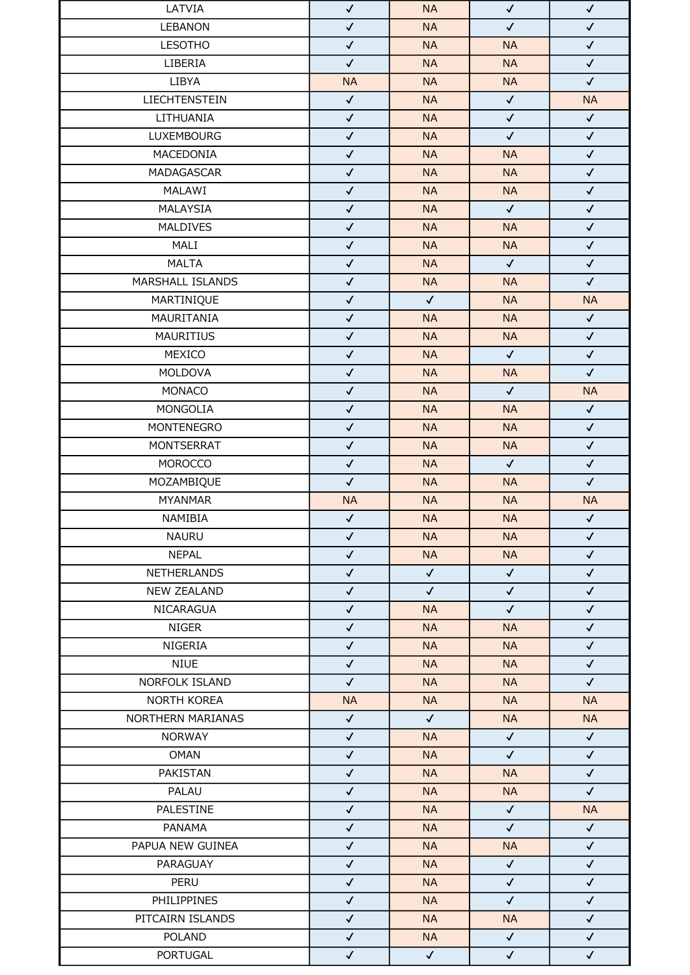| LATVIA               | $\checkmark$ | <b>NA</b>              | $\checkmark$ | $\checkmark$ |
|----------------------|--------------|------------------------|--------------|--------------|
| <b>LEBANON</b>       | $\checkmark$ | <b>NA</b>              | $\checkmark$ | $\checkmark$ |
| <b>LESOTHO</b>       | $\checkmark$ | <b>NA</b>              | <b>NA</b>    | $\checkmark$ |
| LIBERIA              | $\checkmark$ | <b>NA</b>              | <b>NA</b>    | $\checkmark$ |
| LIBYA                | <b>NA</b>    | <b>NA</b>              | <b>NA</b>    | $\checkmark$ |
| <b>LIECHTENSTEIN</b> | $\checkmark$ | <b>NA</b>              | $\checkmark$ | <b>NA</b>    |
| LITHUANIA            | $\checkmark$ | <b>NA</b>              | $\checkmark$ | $\checkmark$ |
| <b>LUXEMBOURG</b>    | $\checkmark$ | <b>NA</b>              | $\checkmark$ | $\checkmark$ |
| MACEDONIA            | $\checkmark$ | <b>NA</b>              | <b>NA</b>    | $\checkmark$ |
| MADAGASCAR           | $\checkmark$ | <b>NA</b>              | <b>NA</b>    | $\checkmark$ |
| MALAWI               | $\checkmark$ | <b>NA</b>              | <b>NA</b>    | $\checkmark$ |
| MALAYSIA             | $\checkmark$ | <b>NA</b>              | $\checkmark$ | $\checkmark$ |
| MALDIVES             | $\checkmark$ | <b>NA</b>              | <b>NA</b>    | $\checkmark$ |
| MALI                 | $\checkmark$ | <b>NA</b>              | <b>NA</b>    | $\checkmark$ |
| <b>MALTA</b>         | $\checkmark$ | <b>NA</b>              | $\checkmark$ | $\checkmark$ |
| MARSHALL ISLANDS     | $\checkmark$ | <b>NA</b>              | <b>NA</b>    | $\checkmark$ |
| MARTINIQUE           | $\checkmark$ | $\checkmark$           | <b>NA</b>    | <b>NA</b>    |
| MAURITANIA           | $\checkmark$ | <b>NA</b>              | <b>NA</b>    | $\checkmark$ |
| <b>MAURITIUS</b>     | $\checkmark$ | <b>NA</b>              | <b>NA</b>    | $\checkmark$ |
| MEXICO               | $\checkmark$ | <b>NA</b>              | $\checkmark$ | $\checkmark$ |
| <b>MOLDOVA</b>       | $\checkmark$ | <b>NA</b>              | <b>NA</b>    | $\checkmark$ |
| MONACO               | $\checkmark$ | <b>NA</b>              | $\checkmark$ | <b>NA</b>    |
| MONGOLIA             | $\checkmark$ | <b>NA</b>              | <b>NA</b>    | $\checkmark$ |
| MONTENEGRO           | $\checkmark$ | <b>NA</b>              | <b>NA</b>    | $\checkmark$ |
| <b>MONTSERRAT</b>    | $\checkmark$ | <b>NA</b>              | <b>NA</b>    | $\checkmark$ |
| <b>MOROCCO</b>       | $\checkmark$ | <b>NA</b>              | $\checkmark$ | $\checkmark$ |
| MOZAMBIQUE           | $\checkmark$ | <b>NA</b>              | <b>NA</b>    | $\checkmark$ |
| <b>MYANMAR</b>       | <b>NA</b>    | <b>NA</b>              | <b>NA</b>    | <b>NA</b>    |
| NAMIBIA              | $\checkmark$ | <b>NA</b>              | <b>NA</b>    | $\checkmark$ |
| <b>NAURU</b>         | $\checkmark$ | <b>NA</b>              | <b>NA</b>    | $\checkmark$ |
| <b>NEPAL</b>         | $\checkmark$ | <b>NA</b>              | <b>NA</b>    | $\checkmark$ |
| <b>NETHERLANDS</b>   | $\checkmark$ | $\checkmark$           | $\checkmark$ | $\checkmark$ |
| <b>NEW ZEALAND</b>   | $\checkmark$ | $\checkmark$           | $\checkmark$ | $\checkmark$ |
| NICARAGUA            | $\checkmark$ | <b>NA</b>              | $\checkmark$ | $\checkmark$ |
| NIGER                | $\checkmark$ | <b>NA</b>              | <b>NA</b>    | $\checkmark$ |
| <b>NIGERIA</b>       | $\checkmark$ | <b>NA</b>              | <b>NA</b>    | $\checkmark$ |
| <b>NIUE</b>          | $\checkmark$ |                        | <b>NA</b>    | $\checkmark$ |
| NORFOLK ISLAND       | $\checkmark$ | <b>NA</b><br><b>NA</b> | <b>NA</b>    | $\checkmark$ |
|                      |              |                        |              |              |
| NORTH KOREA          | <b>NA</b>    | <b>NA</b>              | <b>NA</b>    | <b>NA</b>    |
| NORTHERN MARIANAS    | $\checkmark$ | $\checkmark$           | <b>NA</b>    | <b>NA</b>    |
| <b>NORWAY</b>        | $\checkmark$ | <b>NA</b>              | $\checkmark$ | $\checkmark$ |
| <b>OMAN</b>          | $\checkmark$ | <b>NA</b>              | $\checkmark$ | $\checkmark$ |
| PAKISTAN             | $\checkmark$ | <b>NA</b>              | <b>NA</b>    | $\checkmark$ |
| PALAU                | $\checkmark$ | <b>NA</b>              | <b>NA</b>    | $\checkmark$ |
| PALESTINE            | $\checkmark$ | <b>NA</b>              | $\checkmark$ | <b>NA</b>    |
| PANAMA               | $\checkmark$ | <b>NA</b>              | $\checkmark$ | $\checkmark$ |
| PAPUA NEW GUINEA     | $\checkmark$ | <b>NA</b>              | <b>NA</b>    | $\checkmark$ |
| PARAGUAY             | $\checkmark$ | <b>NA</b>              | $\checkmark$ | $\checkmark$ |
| PERU                 | $\checkmark$ | <b>NA</b>              | $\checkmark$ | $\checkmark$ |
| PHILIPPINES          | $\checkmark$ | <b>NA</b>              | $\checkmark$ | $\checkmark$ |
| PITCAIRN ISLANDS     | $\checkmark$ | <b>NA</b>              | <b>NA</b>    | $\checkmark$ |
| <b>POLAND</b>        | $\checkmark$ | <b>NA</b>              | $\checkmark$ | $\checkmark$ |
| PORTUGAL             | $\checkmark$ | $\checkmark$           | $\checkmark$ | $\checkmark$ |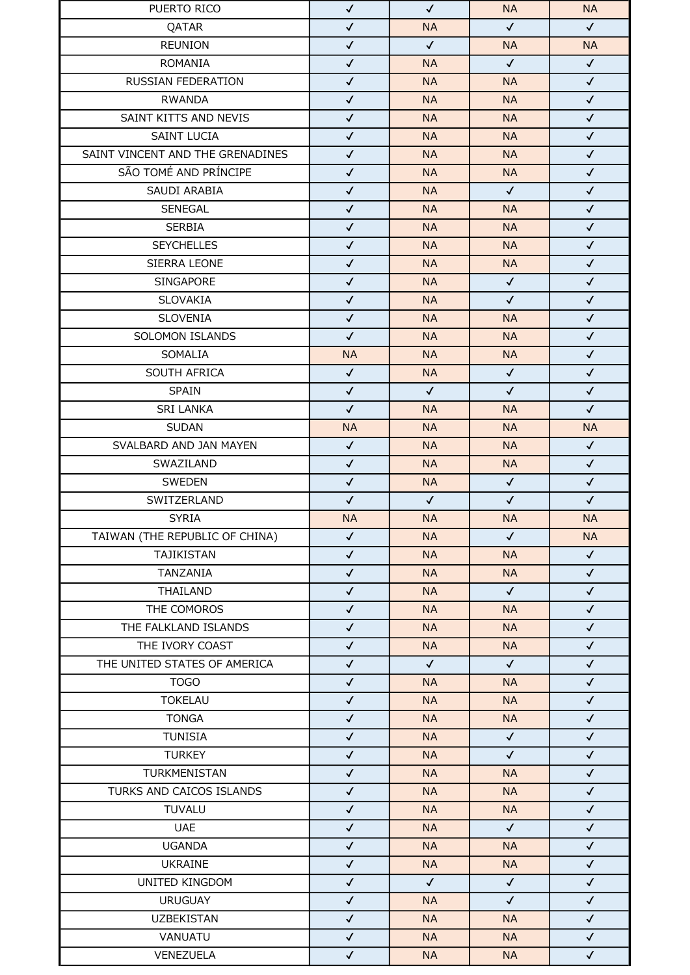| PUERTO RICO                      | $\checkmark$ | $\checkmark$ | <b>NA</b>    | <b>NA</b>    |
|----------------------------------|--------------|--------------|--------------|--------------|
| QATAR                            | $\checkmark$ | <b>NA</b>    | $\checkmark$ | $\checkmark$ |
| <b>REUNION</b>                   | $\checkmark$ | $\checkmark$ | <b>NA</b>    | <b>NA</b>    |
| <b>ROMANIA</b>                   | $\checkmark$ | <b>NA</b>    | $\checkmark$ | $\checkmark$ |
| RUSSIAN FEDERATION               | $\checkmark$ | <b>NA</b>    | <b>NA</b>    | $\checkmark$ |
| <b>RWANDA</b>                    | $\checkmark$ | <b>NA</b>    | <b>NA</b>    | $\checkmark$ |
| SAINT KITTS AND NEVIS            | $\checkmark$ | <b>NA</b>    | <b>NA</b>    | $\checkmark$ |
| <b>SAINT LUCIA</b>               | $\checkmark$ | <b>NA</b>    | <b>NA</b>    | $\checkmark$ |
| SAINT VINCENT AND THE GRENADINES | $\checkmark$ | <b>NA</b>    | <b>NA</b>    | $\checkmark$ |
| SÃO TOMÉ AND PRÍNCIPE            | $\checkmark$ | <b>NA</b>    | <b>NA</b>    | $\checkmark$ |
| SAUDI ARABIA                     | $\checkmark$ | <b>NA</b>    | $\checkmark$ | $\checkmark$ |
| <b>SENEGAL</b>                   | $\checkmark$ | <b>NA</b>    | <b>NA</b>    | $\checkmark$ |
| <b>SERBIA</b>                    | $\checkmark$ | <b>NA</b>    | <b>NA</b>    | $\checkmark$ |
| <b>SEYCHELLES</b>                | $\checkmark$ | <b>NA</b>    | <b>NA</b>    | $\checkmark$ |
| SIERRA LEONE                     | $\checkmark$ | <b>NA</b>    | <b>NA</b>    | $\checkmark$ |
| SINGAPORE                        | $\checkmark$ | <b>NA</b>    | $\checkmark$ | $\checkmark$ |
| SLOVAKIA                         | $\checkmark$ | <b>NA</b>    | $\checkmark$ | $\checkmark$ |
| <b>SLOVENIA</b>                  | $\checkmark$ | <b>NA</b>    | <b>NA</b>    | $\checkmark$ |
| SOLOMON ISLANDS                  | $\checkmark$ | <b>NA</b>    | <b>NA</b>    | $\checkmark$ |
| SOMALIA                          | <b>NA</b>    | <b>NA</b>    | <b>NA</b>    | $\checkmark$ |
| SOUTH AFRICA                     | $\checkmark$ | <b>NA</b>    | $\checkmark$ | $\checkmark$ |
| <b>SPAIN</b>                     | $\checkmark$ | $\checkmark$ | $\checkmark$ | $\checkmark$ |
| <b>SRI LANKA</b>                 | $\checkmark$ | <b>NA</b>    | <b>NA</b>    | $\checkmark$ |
| <b>SUDAN</b>                     | <b>NA</b>    | <b>NA</b>    | <b>NA</b>    | <b>NA</b>    |
| SVALBARD AND JAN MAYEN           | $\checkmark$ | <b>NA</b>    | <b>NA</b>    | $\checkmark$ |
| SWAZILAND                        | $\checkmark$ | NA.          | <b>NA</b>    | $\checkmark$ |
| SWEDEN                           | $\checkmark$ | <b>NA</b>    | $\checkmark$ | $\checkmark$ |
| SWITZERLAND                      | $\checkmark$ | $\checkmark$ | $\checkmark$ | $\checkmark$ |
| <b>SYRIA</b>                     | <b>NA</b>    | <b>NA</b>    | <b>NA</b>    | <b>NA</b>    |
| TAIWAN (THE REPUBLIC OF CHINA)   | $\checkmark$ | <b>NA</b>    | $\checkmark$ | <b>NA</b>    |
| TAJIKISTAN                       | $\checkmark$ | <b>NA</b>    | <b>NA</b>    | $\checkmark$ |
| TANZANIA                         | $\checkmark$ | <b>NA</b>    | <b>NA</b>    | $\checkmark$ |
| THAILAND                         | $\checkmark$ | <b>NA</b>    | $\checkmark$ | $\checkmark$ |
| THE COMOROS                      | $\checkmark$ | <b>NA</b>    | <b>NA</b>    | $\checkmark$ |
| THE FALKLAND ISLANDS             | $\checkmark$ | <b>NA</b>    | <b>NA</b>    | $\checkmark$ |
| THE IVORY COAST                  | $\checkmark$ | <b>NA</b>    | <b>NA</b>    | $\checkmark$ |
| THE UNITED STATES OF AMERICA     | $\checkmark$ | $\checkmark$ | $\checkmark$ | $\checkmark$ |
| <b>TOGO</b>                      | $\checkmark$ | <b>NA</b>    | <b>NA</b>    | $\checkmark$ |
| <b>TOKELAU</b>                   | $\checkmark$ | <b>NA</b>    | <b>NA</b>    | $\checkmark$ |
| <b>TONGA</b>                     | $\checkmark$ | <b>NA</b>    | <b>NA</b>    | $\checkmark$ |
| <b>TUNISIA</b>                   | $\checkmark$ | <b>NA</b>    | $\checkmark$ | $\checkmark$ |
| <b>TURKEY</b>                    | $\checkmark$ | <b>NA</b>    | $\checkmark$ | $\checkmark$ |
| TURKMENISTAN                     | $\checkmark$ | <b>NA</b>    | <b>NA</b>    | $\checkmark$ |
| TURKS AND CAICOS ISLANDS         |              |              |              |              |
|                                  | $\checkmark$ | <b>NA</b>    | <b>NA</b>    | $\checkmark$ |
| <b>TUVALU</b>                    | $\checkmark$ | <b>NA</b>    | <b>NA</b>    | $\checkmark$ |
| <b>UAE</b>                       | $\checkmark$ | <b>NA</b>    | $\checkmark$ | $\checkmark$ |
| <b>UGANDA</b>                    | $\checkmark$ | <b>NA</b>    | <b>NA</b>    | $\checkmark$ |
| <b>UKRAINE</b>                   | $\checkmark$ | <b>NA</b>    | <b>NA</b>    | $\checkmark$ |
| UNITED KINGDOM                   | $\checkmark$ | $\checkmark$ | $\checkmark$ | $\checkmark$ |
| <b>URUGUAY</b>                   | $\checkmark$ | <b>NA</b>    | $\checkmark$ | $\checkmark$ |
| <b>UZBEKISTAN</b>                | $\checkmark$ | <b>NA</b>    | <b>NA</b>    | $\checkmark$ |
| VANUATU                          | $\checkmark$ | <b>NA</b>    | <b>NA</b>    | $\checkmark$ |
| VENEZUELA                        | $\checkmark$ | <b>NA</b>    | <b>NA</b>    | $\checkmark$ |